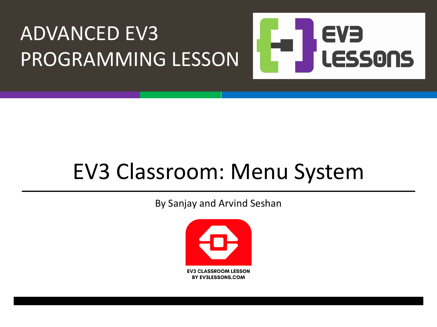### ADVANCED EV3 EVE PROGRAMMING LESSON LESSONS

### EV3 Classroom: Menu System

By Sanjay and Arvind Seshan

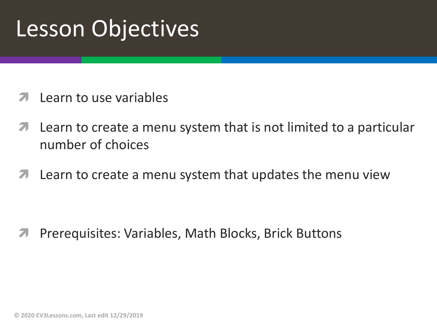### Lesson Objectives

- Learn to use variables
- Learn to create a menu system that is not limited to a particular  $\blacktriangledown$ number of choices
- Learn to create a menu system that updates the menu view 7

Prerequisites: Variables, Math Blocks, Brick Buttons

© 2020 EV3Lessons.com, Last edit 12/29/2019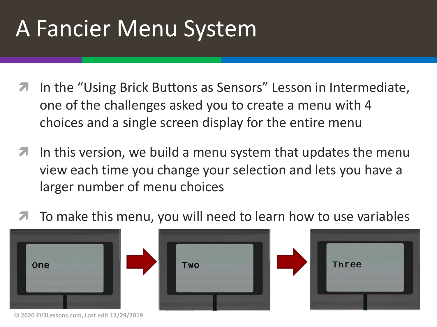# A Fancier Menu System

- In the "Using Brick Buttons as Sensors" Lesson in Intermediate, one of the challenges asked you to create a menu with 4 choices and a single screen display for the entire menu
- $\blacktriangleright$  In this version, we build a menu system that updates the menu view each time you change your selection and lets you have a larger number of menu choices
- ì To make this menu, you will need to learn how to use variables







**© 2020 EV3Lessons.com, Last edit 12/29/2019**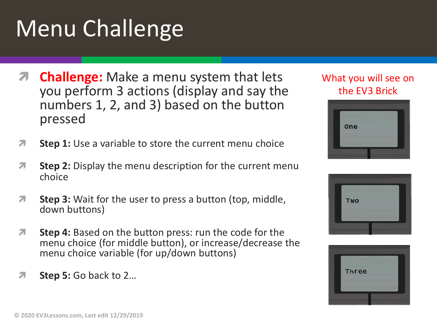# Menu Challenge

- **Challenge:** Make a menu system that lets you perform 3 actions (display and say the numbers 1, 2, and 3) based on the button pressed
- **T** Step 1: Use a variable to store the current menu choice
- *i* **Step 2:** Display the menu description for the current menu choice
- *A* Step 3: Wait for the user to press a button (top, middle, down buttons)
- *A* Step 4: Based on the button press: run the code for the menu choice (for middle button), or increase/decrease the menu choice variable (for up/down buttons)
- ì **Step 5:** Go back to 2…

#### What you will see on the EV3 Brick





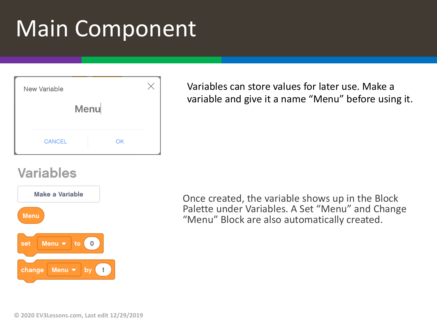# Main Component

| New Variable |               |    |  |
|--------------|---------------|----|--|
| Menu         |               |    |  |
|              |               |    |  |
|              | <b>CANCEL</b> | OK |  |

#### Variables can store values for later use. Make a variable and give it a name "Menu" before using it.

### **Variables**



Once created, the variable shows up in the Block Palette under Variables. A Set "Menu" and Change "Menu" Block are also automatically created.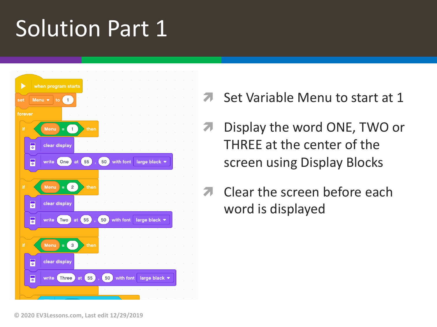### **Solution Part 1**



- Set Variable Menu to start at 1
- Display the word ONE, TWO or THREE at the center of the screen using Display Blocks
- Clear the screen before each word is displayed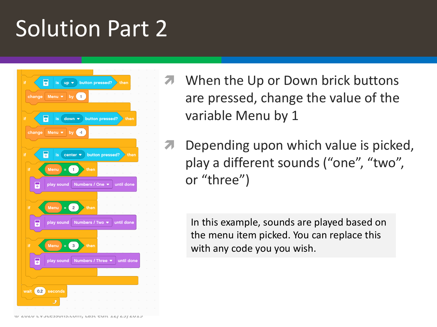### Solution Part 2



- When the Up or Down brick buttons are pressed, change the value of the variable Menu by 1
- Depending upon which value is picked, play a different sounds ("one", "two", or "three")

In this example, sounds are played based on the menu item picked. You can replace this with any code you you wish.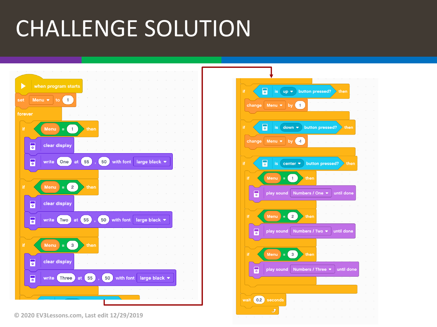## CHALLENGE SOLUTION



**© 2020 EV3Lessons.com, Last edit 12/29/2019**

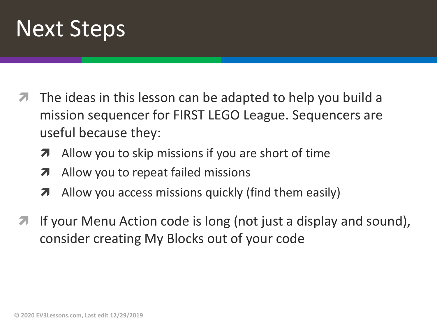

- The ideas in this lesson can be adapted to help you build a mission sequencer for FIRST LEGO League. Sequencers are useful because they:
	- $\lambda$  Allow you to skip missions if you are short of time
	- $\lambda$  Allow you to repeat failed missions
	- $\lambda$  Allow you access missions quickly (find them easily)
- If your Menu Action code is long (not just a display and sound), consider creating My Blocks out of your code